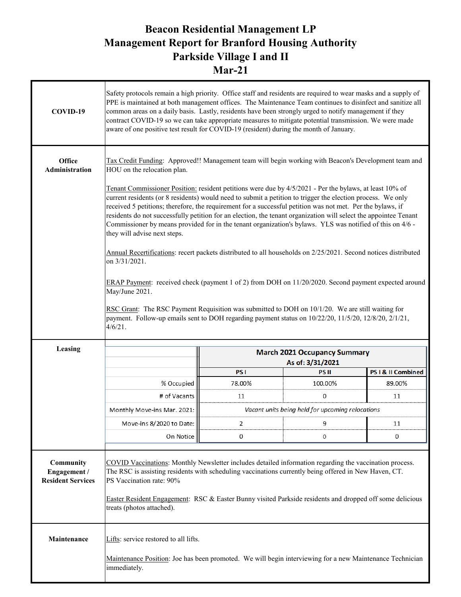## **Beacon Residential Management LP Management Report for Branford Housing Authority Parkside Village I and II Mar-21**

| COVID-19                                              | Safety protocols remain a high priority. Office staff and residents are required to wear masks and a supply of<br>PPE is maintained at both management offices. The Maintenance Team continues to disinfect and sanitize all<br>common areas on a daily basis. Lastly, residents have been strongly urged to notify management if they<br>contract COVID-19 so we can take appropriate measures to mitigate potential transmission. We were made<br>aware of one positive test result for COVID-19 (resident) during the month of January.                                                                                                                                                                                                                                                                                                                                                                                                                                                                                                                                                    |                                                         |             |                    |
|-------------------------------------------------------|-----------------------------------------------------------------------------------------------------------------------------------------------------------------------------------------------------------------------------------------------------------------------------------------------------------------------------------------------------------------------------------------------------------------------------------------------------------------------------------------------------------------------------------------------------------------------------------------------------------------------------------------------------------------------------------------------------------------------------------------------------------------------------------------------------------------------------------------------------------------------------------------------------------------------------------------------------------------------------------------------------------------------------------------------------------------------------------------------|---------------------------------------------------------|-------------|--------------------|
| Office<br>Administration                              | Tax Credit Funding: Approved!! Management team will begin working with Beacon's Development team and<br>HOU on the relocation plan.                                                                                                                                                                                                                                                                                                                                                                                                                                                                                                                                                                                                                                                                                                                                                                                                                                                                                                                                                           |                                                         |             |                    |
|                                                       | Tenant Commissioner Position: resident petitions were due by 4/5/2021 - Per the bylaws, at least 10% of<br>current residents (or 8 residents) would need to submit a petition to trigger the election process. We only<br>received 5 petitions; therefore, the requirement for a successful petition was not met. Per the bylaws, if<br>residents do not successfully petition for an election, the tenant organization will select the appointee Tenant<br>Commissioner by means provided for in the tenant organization's bylaws. YLS was notified of this on 4/6 -<br>they will advise next steps.<br>Annual Recertifications: recert packets distributed to all households on 2/25/2021. Second notices distributed<br>on 3/31/2021.<br>ERAP Payment: received check (payment 1 of 2) from DOH on 11/20/2020. Second payment expected around<br>May/June 2021.<br>RSC Grant: The RSC Payment Requisition was submitted to DOH on 10/1/20. We are still waiting for<br>payment. Follow-up emails sent to DOH regarding payment status on 10/22/20, 11/5/20, 12/8/20, 2/1/21,<br>$4/6/21$ . |                                                         |             |                    |
| Leasing                                               |                                                                                                                                                                                                                                                                                                                                                                                                                                                                                                                                                                                                                                                                                                                                                                                                                                                                                                                                                                                                                                                                                               | <b>March 2021 Occupancy Summary</b><br>As of: 3/31/2021 |             |                    |
|                                                       |                                                                                                                                                                                                                                                                                                                                                                                                                                                                                                                                                                                                                                                                                                                                                                                                                                                                                                                                                                                                                                                                                               | PS <sub>1</sub>                                         | <b>PSII</b> | PS I & II Combined |
|                                                       | % Occupied                                                                                                                                                                                                                                                                                                                                                                                                                                                                                                                                                                                                                                                                                                                                                                                                                                                                                                                                                                                                                                                                                    | 78.00%                                                  | 100.00%     | 89.00%             |
|                                                       | # of Vacants                                                                                                                                                                                                                                                                                                                                                                                                                                                                                                                                                                                                                                                                                                                                                                                                                                                                                                                                                                                                                                                                                  | 11                                                      | 0           | 11                 |
|                                                       | Monthly Move-ins Mar. 2021:                                                                                                                                                                                                                                                                                                                                                                                                                                                                                                                                                                                                                                                                                                                                                                                                                                                                                                                                                                                                                                                                   | Vacant units being held for upcoming relocations        |             |                    |
|                                                       | Move-ins 8/2020 to Date:                                                                                                                                                                                                                                                                                                                                                                                                                                                                                                                                                                                                                                                                                                                                                                                                                                                                                                                                                                                                                                                                      | 2                                                       | 9           | 11                 |
|                                                       | On Notice                                                                                                                                                                                                                                                                                                                                                                                                                                                                                                                                                                                                                                                                                                                                                                                                                                                                                                                                                                                                                                                                                     | 0                                                       | 0           | 0                  |
| Community<br>Engagement /<br><b>Resident Services</b> | COVID Vaccinations: Monthly Newsletter includes detailed information regarding the vaccination process.<br>The RSC is assisting residents with scheduling vaccinations currently being offered in New Haven, CT.<br>PS Vaccination rate: 90%<br>Easter Resident Engagement: RSC & Easter Bunny visited Parkside residents and dropped off some delicious<br>treats (photos attached).                                                                                                                                                                                                                                                                                                                                                                                                                                                                                                                                                                                                                                                                                                         |                                                         |             |                    |
| Maintenance                                           | Lifts: service restored to all lifts.                                                                                                                                                                                                                                                                                                                                                                                                                                                                                                                                                                                                                                                                                                                                                                                                                                                                                                                                                                                                                                                         |                                                         |             |                    |

**Maintenance Lifts:** service restored to all lifts.

Maintenance Position: Joe has been promoted. We will begin interviewing for a new Maintenance Technician immediately.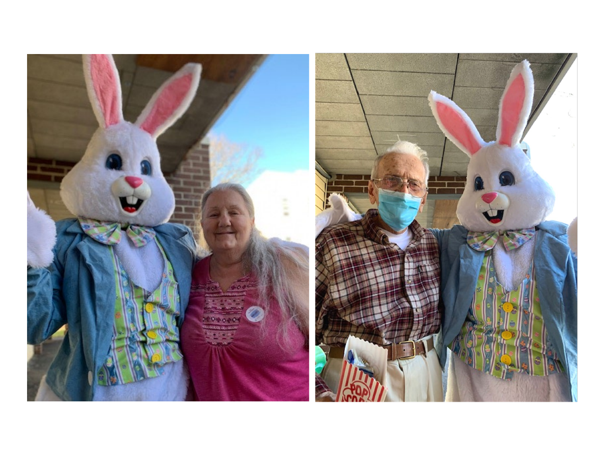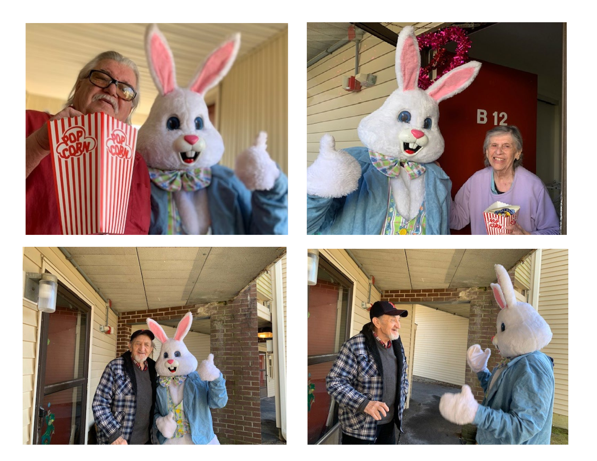